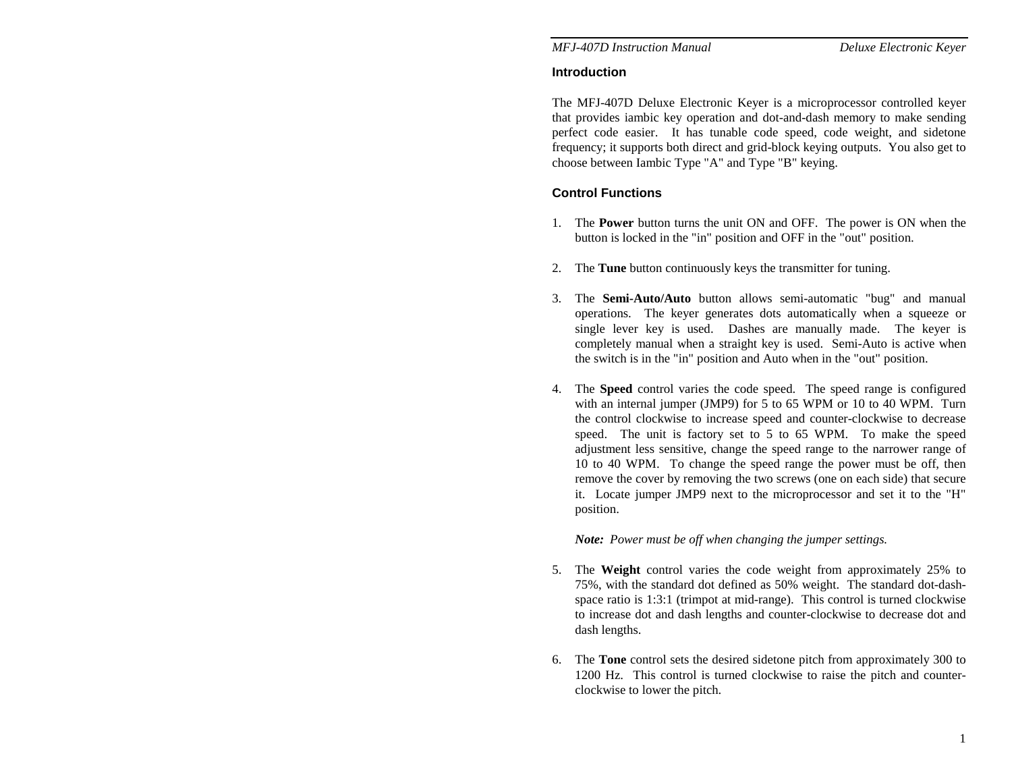## **Introduction**

The MFJ-407D Deluxe Electronic Keyer is a microprocessor controlled keyer that provides iambic key operation and dot-and-dash memory to make sending perfect code easier. It has tunable code speed, code weight, and sidetone frequency; it supports both direct and grid-block keying outputs. You also get to choose between Iambic Type "A" and Type "B" keying.

# **Control Functions**

- 1. The **Power** button turns the unit ON and OFF. The power is ON when the button is locked in the "in" position and OFF in the "out" position.
- 2. The **Tune** button continuously keys the transmitter for tuning.
- 3. The **Semi-Auto/Auto** button allows semi-automatic "bug" and manual operations. The keyer generates dots automatically when a squeeze or single lever key is used. Dashes are manually made. The keyer is completely manual when a straight key is used. Semi-Auto is active when the switch is in the "in" position and Auto when in the "out" position.
- 4. The **Speed** control varies the code speed. The speed range is configured with an internal jumper (JMP9) for 5 to 65 WPM or 10 to 40 WPM. Turn the control clockwise to increase speed and counter-clockwise to decrease speed. The unit is factory set to 5 to 65 WPM. To make the speed adjustment less sensitive, change the speed range to the narrower range of 10 to 40 WPM. To change the speed range the power must be off, then remove the cover by removing the two screws (one on each side) that secure it. Locate jumper JMP9 next to the microprocessor and set it to the "H" position.

*Note: Power must be off when changing the jumper settings.* 

- 5. The **Weight** control varies the code weight from approximately 25% to 75%, with the standard dot defined as 50% weight. The standard dot-dashspace ratio is 1:3:1 (trimpot at mid-range). This control is turned clockwise to increase dot and dash lengths and counter-clockwise to decrease dot and dash lengths.
- 6. The **Tone** control sets the desired sidetone pitch from approximately 300 to 1200 Hz. This control is turned clockwise to raise the pitch and counterclockwise to lower the pitch.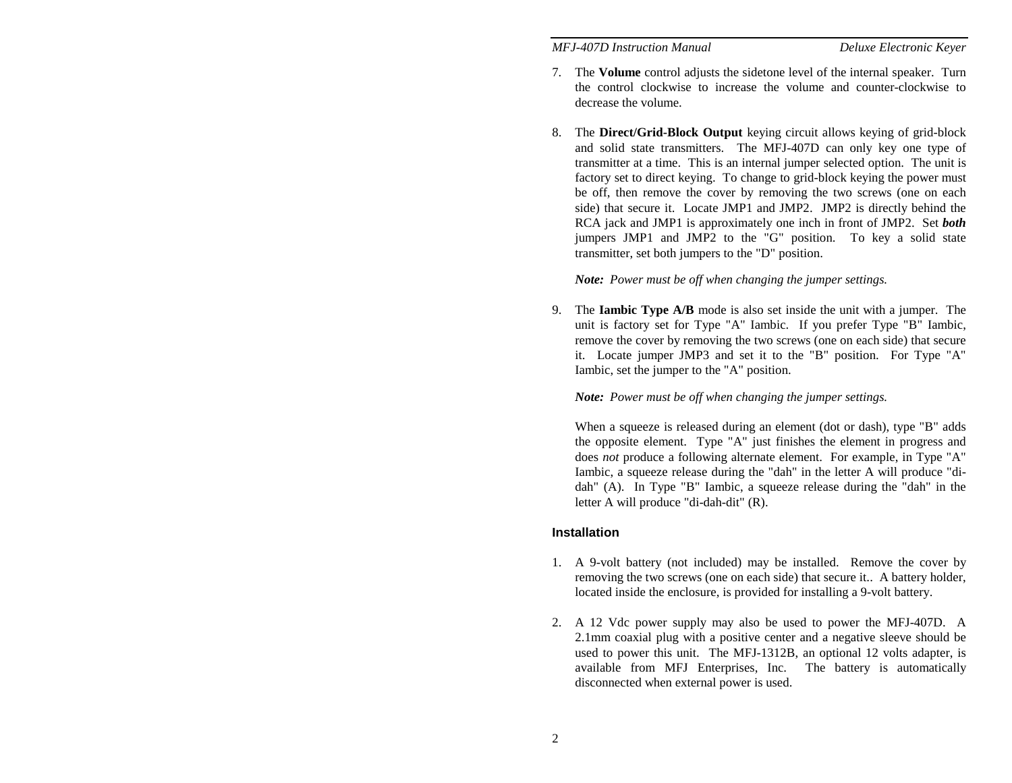- 7. The **Volume** control adjusts the sidetone level of the internal speaker. Turn the control clockwise to increase the volume and counter-clockwise to decrease the volume.
- 8. The **Direct/Grid-Block Output** keying circuit allows keying of grid-block and solid state transmitters. The MFJ-407D can only key one type of transmitter at a time. This is an internal jumper selected option. The unit is factory set to direct keying. To change to grid-block keying the power must be off, then remove the cover by removing the two screws (one on each side) that secure it. Locate JMP1 and JMP2. JMP2 is directly behind the RCA jack and JMP1 is approximately one inch in front of JMP2. Set *both* jumpers JMP1 and JMP2 to the "G" position. To key a solid state transmitter, set both jumpers to the "D" position.

*Note: Power must be off when changing the jumper settings.* 

9. The **Iambic Type A/B** mode is also set inside the unit with a jumper. The unit is factory set for Type "A" Iambic. If you prefer Type "B" Iambic, remove the cover by removing the two screws (one on each side) that secure it. Locate jumper JMP3 and set it to the "B" position. For Type "A" Iambic, set the jumper to the "A" position.

*Note: Power must be off when changing the jumper settings.* 

When a squeeze is released during an element (dot or dash), type "B" adds the opposite element. Type "A" just finishes the element in progress and does *not* produce a following alternate element. For example, in Type "A" Iambic, a squeeze release during the "dah" in the letter A will produce "didah" (A). In Type "B" Iambic, a squeeze release during the "dah" in the letter A will produce "di-dah-dit" (R).

#### **Installation**

- 1. A 9-volt battery (not included) may be installed. Remove the cover by removing the two screws (one on each side) that secure it.. A battery holder, located inside the enclosure, is provided for installing a 9-volt battery.
- 2. A 12 Vdc power supply may also be used to power the MFJ-407D. A 2.1mm coaxial plug with a positive center and a negative sleeve should be used to power this unit. The MFJ-1312B, an optional 12 volts adapter, is available from MFJ Enterprises, Inc. The battery is automatically disconnected when external power is used.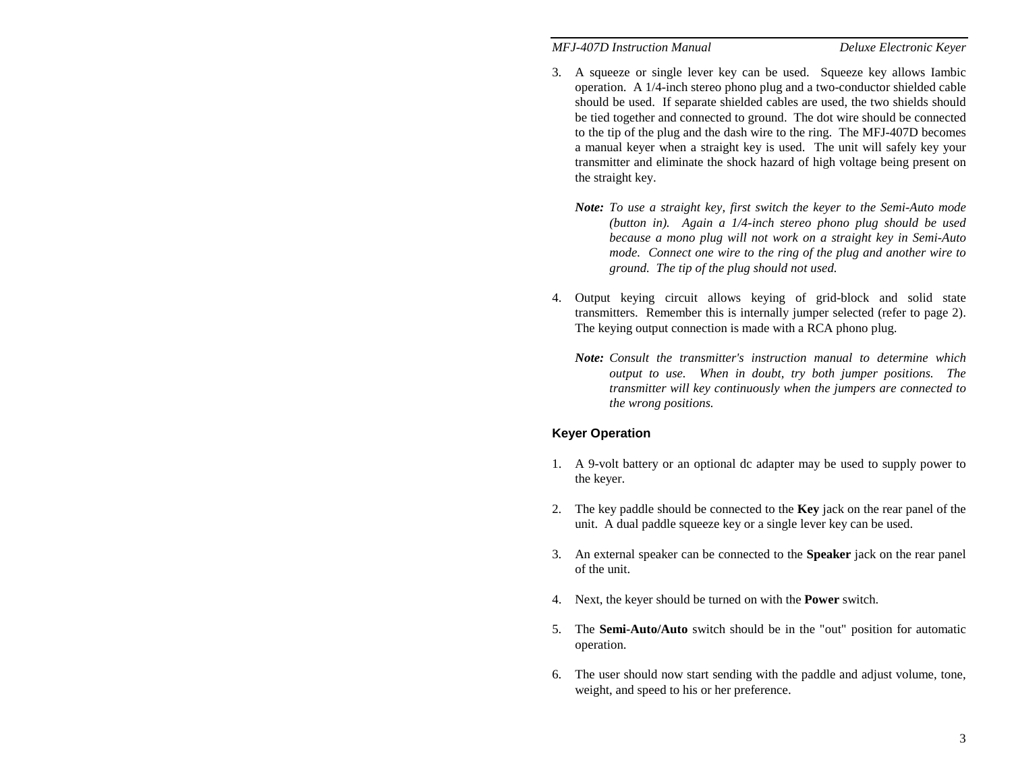- 3. A squeeze or single lever key can be used. Squeeze key allows Iambic operation. A 1/4-inch stereo phono plug and a two-conductor shielded cable should be used. If separate shielded cables are used, the two shields should be tied together and connected to ground. The dot wire should be connected to the tip of the plug and the dash wire to the ring. The MFJ-407D becomes a manual keyer when a straight key is used. The unit will safely key your transmitter and eliminate the shock hazard of high voltage being present on the straight key.
	- *Note: To use a straight key, first switch the keyer to the Semi-Auto mode (button in). Again a 1/4-inch stereo phono plug should be used because a mono plug will not work on a straight key in Semi-Auto mode. Connect one wire to the ring of the plug and another wire to ground. The tip of the plug should not used.*
- 4. Output keying circuit allows keying of grid-block and solid state transmitters. Remember this is internally jumper selected (refer to page 2). The keying output connection is made with a RCA phono plug.
	- *Note: Consult the transmitter's instruction manual to determine which output to use. When in doubt, try both jumper positions. The transmitter will key continuously when the jumpers are connected to the wrong positions.*

#### **Keyer Operation**

- 1. A 9-volt battery or an optional dc adapter may be used to supply power to the keyer.
- 2. The key paddle should be connected to the **Key** jack on the rear panel of the unit. A dual paddle squeeze key or a single lever key can be used.
- 3. An external speaker can be connected to the **Speaker** jack on the rear panel of the unit.
- 4. Next, the keyer should be turned on with the **Power** switch.
- 5. The **Semi-Auto/Auto** switch should be in the "out" position for automatic operation.
- 6. The user should now start sending with the paddle and adjust volume, tone, weight, and speed to his or her preference.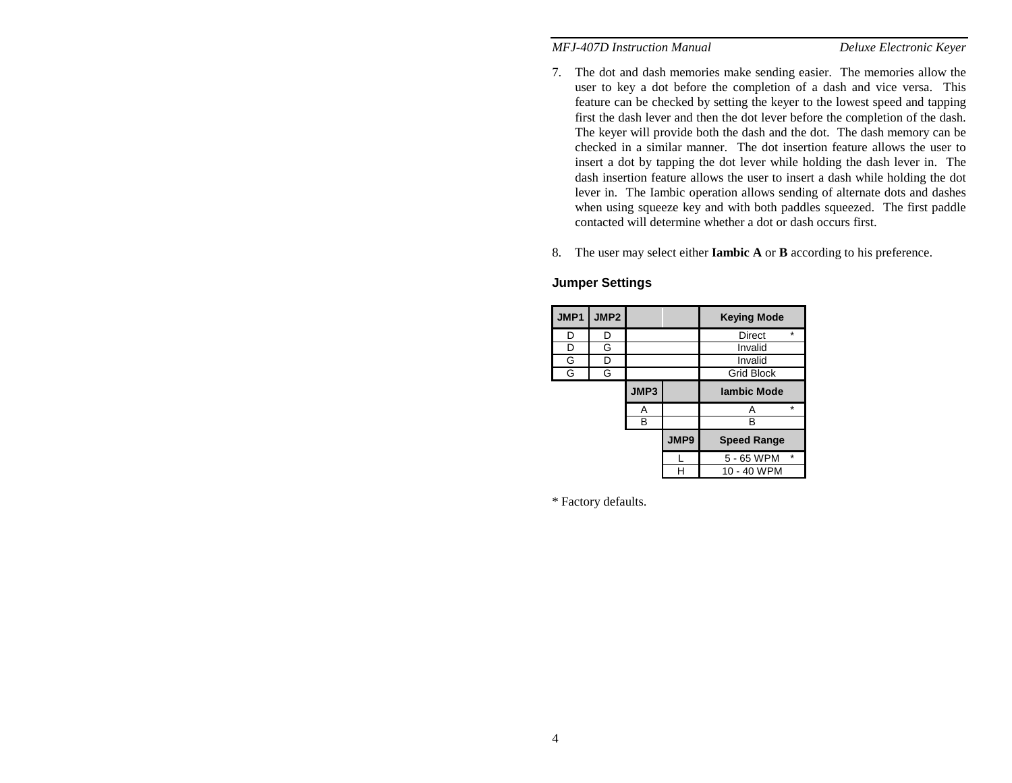- 7. The dot and dash memories make sending easier. The memories allow the user to key a dot before the completion of a dash and vice versa. This feature can be checked by setting the keyer to the lowest speed and tapping first the dash lever and then the dot lever before the completion of the dash. The keyer will provide both the dash and the dot. The dash memory can be checked in a similar manner. The dot insertion feature allows the user to insert a dot by tapping the dot lever while holding the dash lever in. The dash insertion feature allows the user to insert a dash while holding the dot lever in. The Iambic operation allows sending of alternate dots and dashes when using squeeze key and with both paddles squeezed. The first paddle contacted will determine whether a dot or dash occurs first.
- 8. The user may select either **Iambic A** or **B** according to his preference.

## **JMP1** JMP2 Keying Mode D D D Direct D G I Invalid G D **I** Invalid G G G G Grid Block **JMP3 Iambic Mode**   $A \quad A$  B B B **JMP9 Speed Range**   $L \quad 5 - 65$  WPM H 10 - 40 WPM

#### **Jumper Settings**

\* Factory defaults.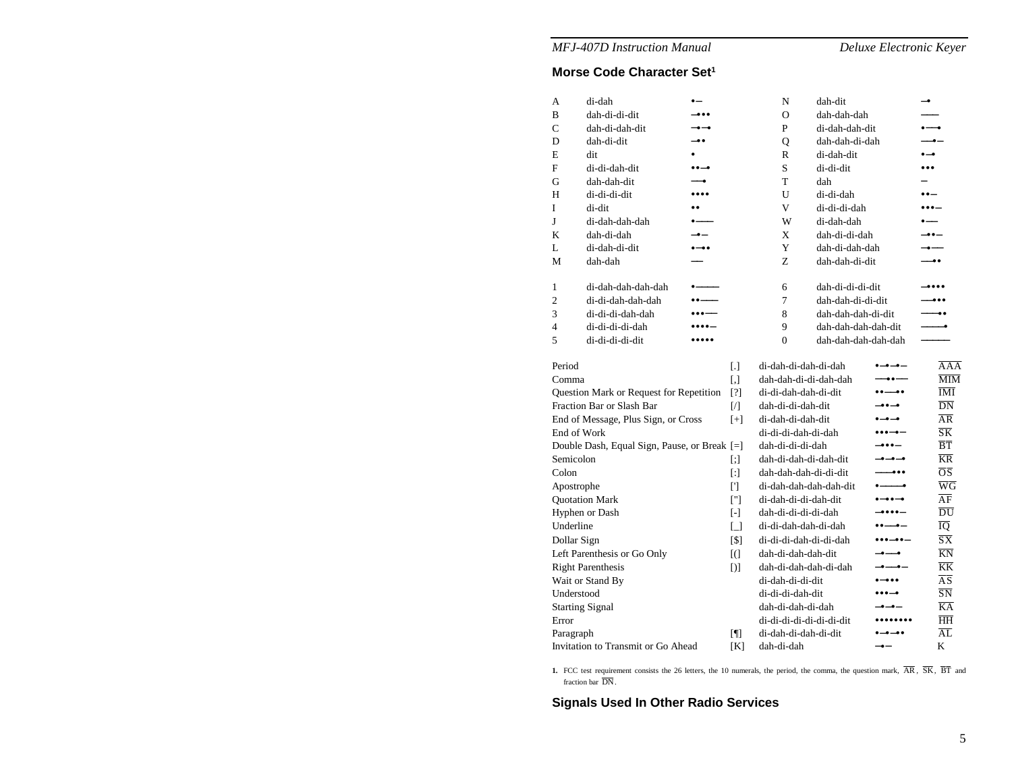# **Morse Code Character Set1**

| A                                            | di-dah             | $\bullet-$                                   |                | N                                                             | dah-dit             |                                                           | $-•$                     |                                          |
|----------------------------------------------|--------------------|----------------------------------------------|----------------|---------------------------------------------------------------|---------------------|-----------------------------------------------------------|--------------------------|------------------------------------------|
| B                                            | dah-di-di-dit      |                                              |                | $\Omega$                                                      | dah-dah-dah         |                                                           |                          |                                          |
| Ċ                                            | dah-di-dah-dit     | $-$                                          |                | P                                                             | di-dah-dah-dit      |                                                           | $\bullet$ — $\bullet$    |                                          |
| D                                            | dah-di-dit         | -00                                          |                | Q                                                             | dah-dah-di-dah      |                                                           | $-$ o $-$                |                                          |
| E                                            | dit                |                                              |                | R                                                             | di-dah-dit          |                                                           | $\bullet - \bullet$      |                                          |
| F                                            | di-di-dah-dit      | $\bullet\bullet-\bullet$                     |                | S                                                             | di-di-dit           |                                                           | $\bullet\bullet\bullet$  |                                          |
| G                                            | dah-dah-dit        | $\overline{\bullet}$                         |                | T                                                             | dah                 |                                                           | $\overline{\phantom{0}}$ |                                          |
| Н                                            | di-di-di-dit       |                                              |                | U                                                             | di-di-dah           |                                                           | $\bullet\bullet-$        |                                          |
| I                                            | di-dit             |                                              |                | V                                                             | di-di-di-dah        |                                                           |                          |                                          |
| J                                            | di-dah-dah-dah     |                                              |                | W                                                             | di-dah-dah          |                                                           |                          |                                          |
| K                                            | dah-di-dah         | $-$                                          |                | X                                                             | dah-di-di-dah       |                                                           | --                       |                                          |
| L                                            | di-dah-di-dit      |                                              |                | Y                                                             | dah-di-dah-dah      |                                                           | ---                      |                                          |
| M                                            | dah-dah            |                                              |                | Z                                                             | dah-dah-di-dit      |                                                           | ——●●                     |                                          |
| 1                                            | di-dah-dah-dah-dah |                                              |                | 6                                                             | dah-di-di-di-dit    |                                                           |                          |                                          |
| $\overline{2}$                               | di-di-dah-dah-dah  | $\bullet$ $\bullet$ $\overline{\phantom{a}}$ |                | 7                                                             | dah-dah-di-di-dit   |                                                           |                          |                                          |
| 3                                            | di-di-di-dah-dah   | $\bullet\bullet\bullet\text{---}$            |                | 8                                                             | dah-dah-dah-di-dit  |                                                           |                          | -                                        |
| 4                                            | di-di-di-di-dah    | -----                                        |                | 9                                                             | dah-dah-dah-dah-dit |                                                           |                          | -0                                       |
| 5                                            | di-di-di-di-dit    |                                              |                | $\theta$                                                      | dah-dah-dah-dah-dah |                                                           |                          |                                          |
| Period                                       |                    |                                              | L1.            | di-dah-di-dah-di-dah                                          |                     | -0-0-                                                     |                          | AAA                                      |
| Comma                                        |                    |                                              | $[ , ]$        | dah-dah-di-di-dah-dah                                         |                     | $-00--$                                                   |                          | $\overline{\text{MIM}}$                  |
| Question Mark or Request for Repetition      |                    |                                              | [?]            | di-di-dah-dah-di-dit                                          |                     |                                                           |                          | $\overline{\text{IMI}}$                  |
| Fraction Bar or Slash Bar                    |                    |                                              | $\sqrt{ }$     | dah-di-di-dah-dit                                             |                     | -00-0                                                     |                          | $\overline{DN}$                          |
| End of Message, Plus Sign, or Cross          |                    |                                              | $[+]$          | di-dah-di-dah-dit                                             |                     | $\bullet-\bullet-\bullet$                                 |                          | $\overline{\rm AR}$                      |
| End of Work                                  |                    |                                              |                | di-di-di-dah-di-dah                                           |                     | $\bullet\bullet\bullet-\bullet-$                          |                          | $\overline{\text{S}}\overline{\text{K}}$ |
| Double Dash, Equal Sign, Pause, or Break [=] |                    |                                              |                | dah-di-di-di-dah                                              |                     | -000-                                                     |                          | $\overline{B}\overline{T}$               |
| Semicolon                                    |                    |                                              | $[$            | dah-di-dah-di-dah-dit                                         |                     | -o-o-o                                                    |                          | $\overline{\text{KR}}$                   |
| Colon                                        |                    |                                              | $[$            | dah-dah-dah-di-di-dit                                         |                     | $ \bullet \bullet \bullet$                                |                          | $\overline{OS}$                          |
| Apostrophe                                   |                    |                                              | $[$            | di-dah-dah-dah-dah-dit                                        |                     |                                                           |                          | $\overline{W}\overline{G}$               |
| <b>Quotation Mark</b>                        |                    |                                              | $\lceil$ "]    | di-dah-di-di-dah-dit<br>$\bullet - \bullet \bullet - \bullet$ |                     |                                                           |                          | $\overline{AF}$                          |
| Hyphen or Dash                               |                    |                                              | $[ - ]$        | dah-di-di-di-di-dah<br>-                                      |                     |                                                           |                          | $\overline{\rm DU}$                      |
| Underline                                    |                    |                                              | $\Box$         | di-di-dah-dah-di-dah                                          |                     |                                                           |                          | ĪQ                                       |
| Dollar Sign                                  |                    |                                              | [\$]           | di-di-di-dah-di-di-dah                                        |                     | $\bullet\bullet\bullet-\bullet\bullet-$                   |                          | $\overline{\text{S}}\overline{\text{X}}$ |
| Left Parenthesis or Go Only                  |                    |                                              | $[$ (          | dah-di-dah-dah-dit                                            |                     | ----                                                      |                          | $\overline{KN}$                          |
| <b>Right Parenthesis</b>                     |                    |                                              | D <sub>1</sub> | dah-di-dah-dah-di-dah                                         |                     | -----                                                     |                          | $\overline{KK}$                          |
| Wait or Stand By                             |                    |                                              |                | di-dah-di-di-dit                                              |                     | $\bullet\textcolor{red}{\textbf{-}\bullet\bullet\bullet}$ |                          | $\overline{\rm AS}$                      |
| Understood                                   |                    |                                              |                | di-di-di-dah-dit                                              |                     | $\bullet\bullet\bullet-\bullet$                           |                          | $\overline{\text{SN}}$                   |
| <b>Starting Signal</b>                       |                    |                                              |                | dah-di-dah-di-dah                                             |                     | -•—•—                                                     |                          | $\overline{KA}$                          |
| Error                                        |                    |                                              |                | di-di-di-di-di-di-di-dit                                      |                     | ,,,,,,,,                                                  |                          | $\overline{HH}$                          |
| Paragraph                                    |                    |                                              | $\blacksquare$ | di-dah-di-dah-di-dit                                          |                     |                                                           |                          | $\overline{AL}$                          |
| Invitation to Transmit or Go Ahead           |                    |                                              | [K]            | dah-di-dah                                                    |                     | $-$ e $-$                                                 |                          | K                                        |

1. FCC test requirement consists the 26 letters, the 10 numerals, the period, the comma, the question mark,  $\overline{AR}$ ,  $\overline{SK}$ ,  $\overline{BT}$  and fraction bar DN.

**Signals Used In Other Radio Services**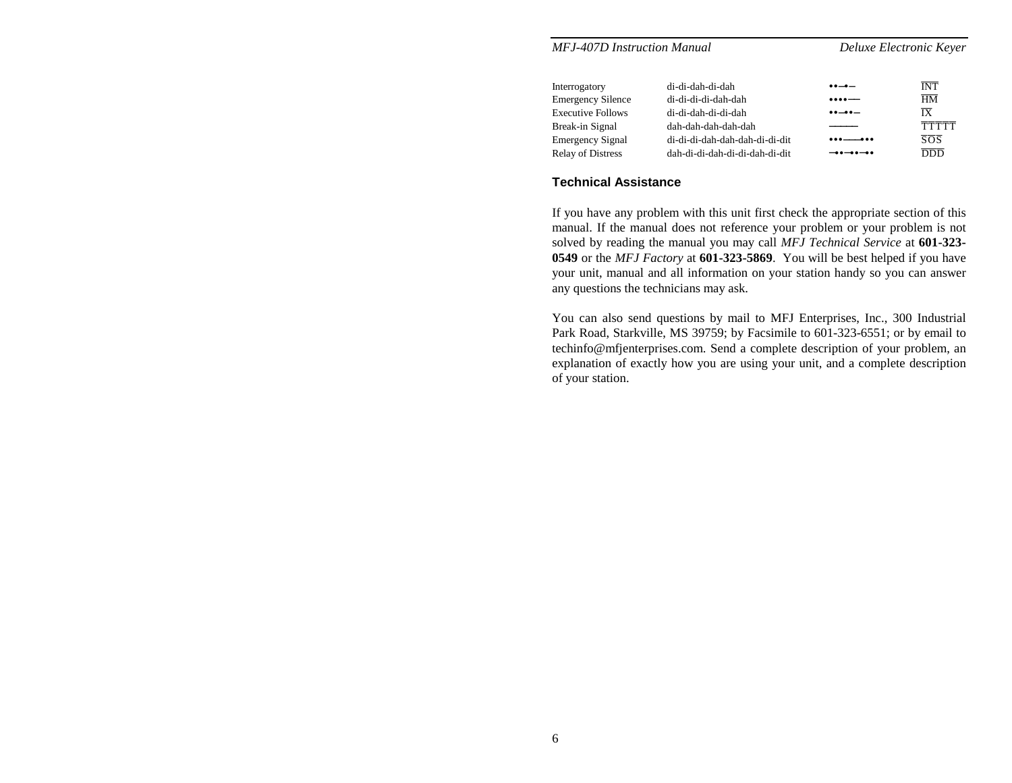| <b>MFJ-407D Instruction Manual</b> |                                | Deluxe Electronic Keyer                    |                  |  |  |
|------------------------------------|--------------------------------|--------------------------------------------|------------------|--|--|
| Interrogatory                      | di-di-dah-di-dah               | $\bullet\bullet-\bullet-$                  | <b>INT</b>       |  |  |
| <b>Emergency Silence</b>           | di-di-di-di-dah-dah            | $\bullet\bullet\bullet\bullet\cdots$       | $\overline{HM}$  |  |  |
| <b>Executive Follows</b>           | di-di-dah-di-di-dah            | $\bullet\bullet\!-\!\bullet\bullet\!-\!\!$ | $\overline{IX}$  |  |  |
| Break-in Signal                    | dah-dah-dah-dah-dah            |                                            | <b>TTTTT</b>     |  |  |
| <b>Emergency Signal</b>            | di-di-di-dah-dah-dah-di-di-dit | ___                                        | $\overline{SOS}$ |  |  |
| <b>Relay of Distress</b>           | dah-di-di-dah-di-di-dah-di-dit | $-00-00-00$                                | <b>DDD</b>       |  |  |

## **Technical Assistance**

If you have any problem with this unit first check the appropriate section of this manual. If the manual does not reference your problem or your problem is not solved by reading the manual you may call *MFJ Technical Service* at **601-323- 0549** or the *MFJ Factory* at **601-323-5869**. You will be best helped if you have your unit, manual and all information on your station handy so you can answer any questions the technicians may ask.

You can also send questions by mail to MFJ Enterprises, Inc., 300 Industrial Park Road, Starkville, MS 39759; by Facsimile to 601-323-6551; or by email to techinfo@mfjenterprises.com. Send a complete description of your problem, an explanation of exactly how you are using your unit, and a complete description of your station.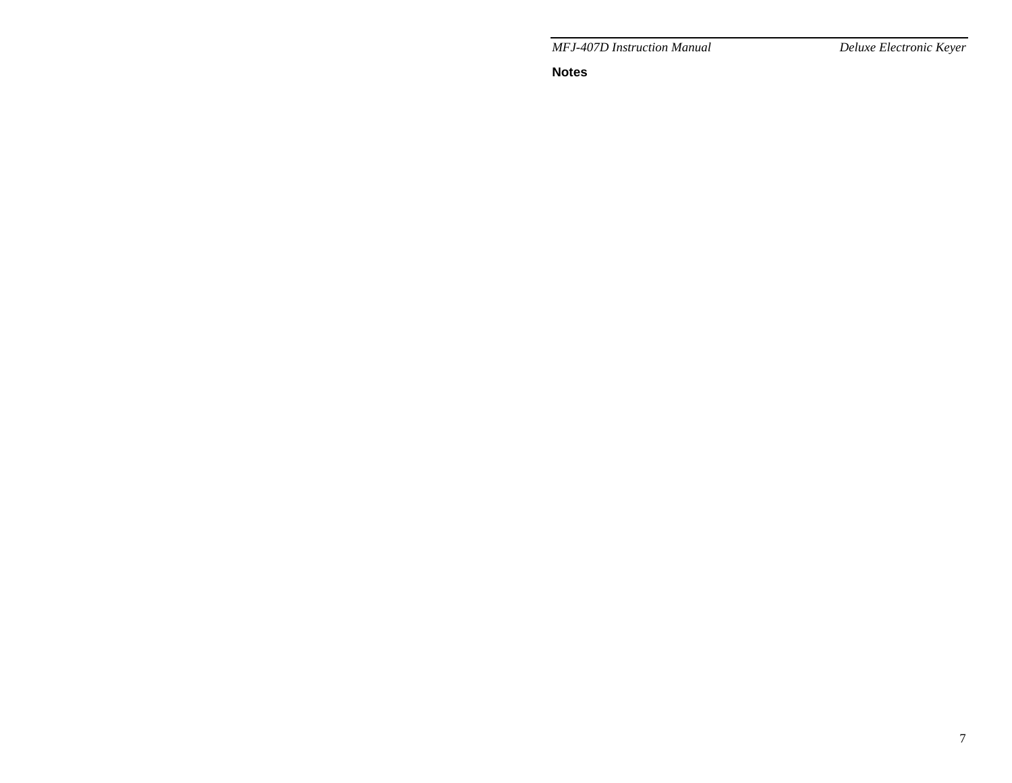**Notes**